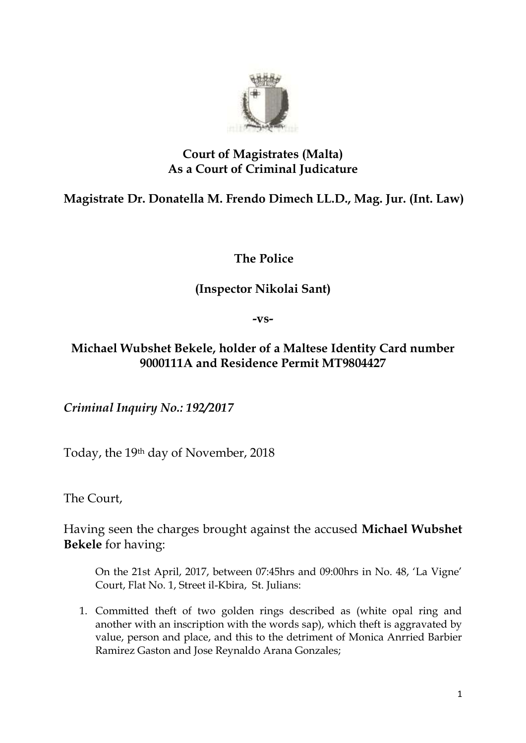

## **Court of Magistrates (Malta) As a Court of Criminal Judicature**

## **Magistrate Dr. Donatella M. Frendo Dimech LL.D., Mag. Jur. (Int. Law)**

**The Police**

## **(Inspector Nikolai Sant)**

**-vs-**

## **Michael Wubshet Bekele, holder of a Maltese Identity Card number 9000111A and Residence Permit MT9804427**

*Criminal Inquiry No.: 192/2017*

Today, the 19th day of November, 2018

The Court,

Having seen the charges brought against the accused **Michael Wubshet Bekele** for having:

On the 21st April, 2017, between 07:45hrs and 09:00hrs in No. 48, 'La Vigne' Court, Flat No. 1, Street il-Kbira, St. Julians:

1. Committed theft of two golden rings described as (white opal ring and another with an inscription with the words sap), which theft is aggravated by value, person and place, and this to the detriment of Monica Anrried Barbier Ramirez Gaston and Jose Reynaldo Arana Gonzales;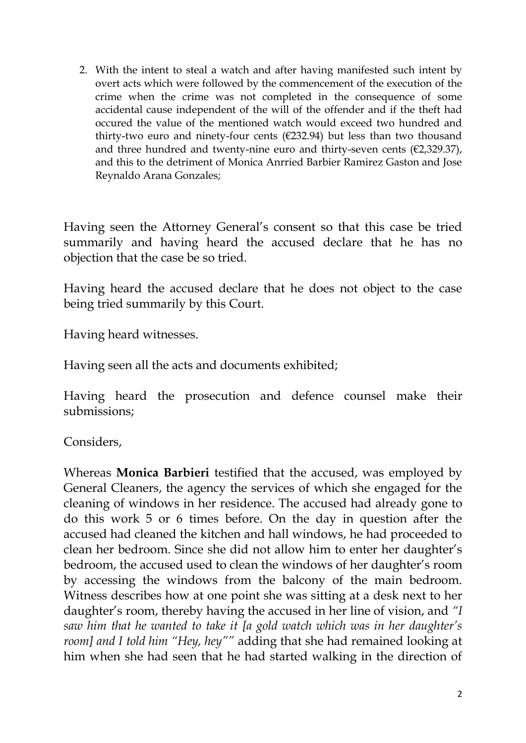2. With the intent to steal a watch and after having manifested such intent by overt acts which were followed by the commencement of the execution of the crime when the crime was not completed in the consequence of some accidental cause independent of the will of the offender and if the theft had occured the value of the mentioned watch would exceed two hundred and thirty-two euro and ninety-four cents (€232.94) but less than two thousand and three hundred and twenty-nine euro and thirty-seven cents  $(E2, 329.37)$ , and this to the detriment of Monica Anrried Barbier Ramirez Gaston and Jose Reynaldo Arana Gonzales;

Having seen the Attorney General's consent so that this case be tried summarily and having heard the accused declare that he has no objection that the case be so tried.

Having heard the accused declare that he does not object to the case being tried summarily by this Court.

Having heard witnesses.

Having seen all the acts and documents exhibited;

Having heard the prosecution and defence counsel make their submissions;

Considers,

Whereas **Monica Barbieri** testified that the accused, was employed by General Cleaners, the agency the services of which she engaged for the cleaning of windows in her residence. The accused had already gone to do this work 5 or 6 times before. On the day in question after the accused had cleaned the kitchen and hall windows, he had proceeded to clean her bedroom. Since she did not allow him to enter her daughter's bedroom, the accused used to clean the windows of her daughter's room by accessing the windows from the balcony of the main bedroom. Witness describes how at one point she was sitting at a desk next to her daughter's room, thereby having the accused in her line of vision, and *"I saw him that he wanted to take it [a gold watch which was in her daughter's room] and I told him "Hey, hey""* adding that she had remained looking at him when she had seen that he had started walking in the direction of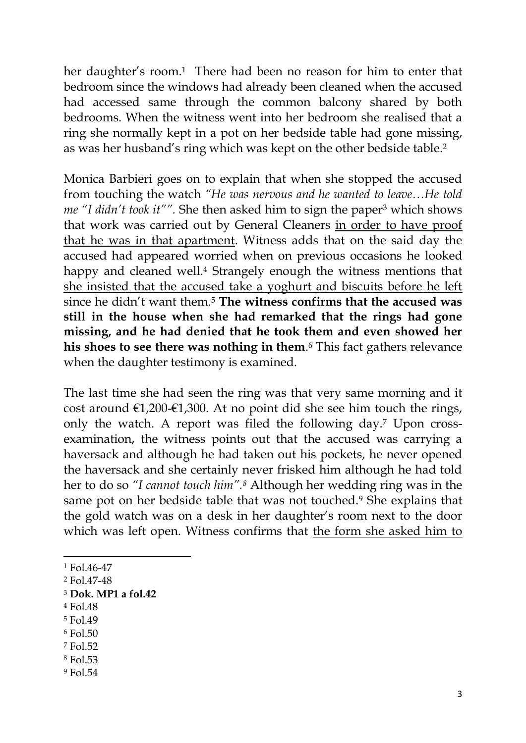her daughter's room.<sup>1</sup> There had been no reason for him to enter that bedroom since the windows had already been cleaned when the accused had accessed same through the common balcony shared by both bedrooms. When the witness went into her bedroom she realised that a ring she normally kept in a pot on her bedside table had gone missing, as was her husband's ring which was kept on the other bedside table.<sup>2</sup>

Monica Barbieri goes on to explain that when she stopped the accused from touching the watch *"He was nervous and he wanted to leave…He told me "I didn't took it""*. She then asked him to sign the paper<sup>3</sup> which shows that work was carried out by General Cleaners in order to have proof that he was in that apartment. Witness adds that on the said day the accused had appeared worried when on previous occasions he looked happy and cleaned well.<sup>4</sup> Strangely enough the witness mentions that she insisted that the accused take a yoghurt and biscuits before he left since he didn't want them.<sup>5</sup> **The witness confirms that the accused was still in the house when she had remarked that the rings had gone missing, and he had denied that he took them and even showed her his shoes to see there was nothing in them**. <sup>6</sup> This fact gathers relevance when the daughter testimony is examined.

The last time she had seen the ring was that very same morning and it cost around  $E1,200-E1,300$ . At no point did she see him touch the rings, only the watch. A report was filed the following day.<sup>7</sup> Upon crossexamination, the witness points out that the accused was carrying a haversack and although he had taken out his pockets, he never opened the haversack and she certainly never frisked him although he had told her to do so *"I cannot touch him".<sup>8</sup>* Although her wedding ring was in the same pot on her bedside table that was not touched.<sup>9</sup> She explains that the gold watch was on a desk in her daughter's room next to the door which was left open. Witness confirms that the form she asked him to

1

- <sup>5</sup> Fol.49
- <sup>6</sup> Fol.50
- <sup>7</sup> Fol.52
- <sup>8</sup> Fol.53
- <sup>9</sup> Fol.54

<sup>1</sup> Fol.46-47

<sup>2</sup> Fol.47-48

<sup>3</sup> **Dok. MP1 a fol.42**

<sup>4</sup> Fol.48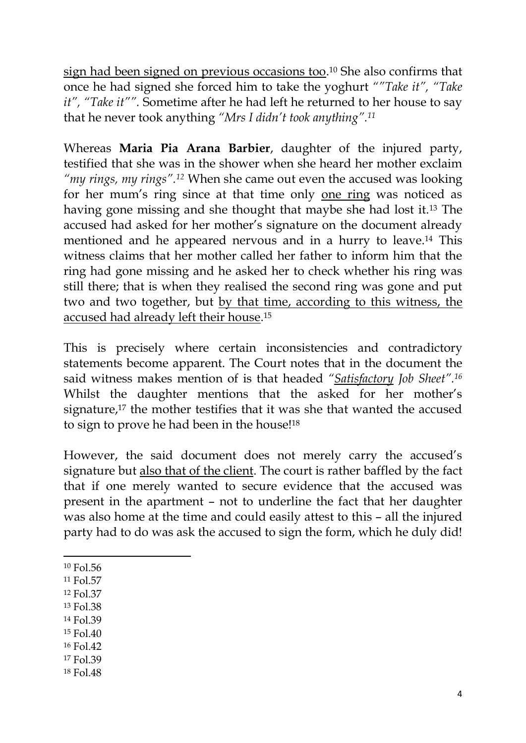sign had been signed on previous occasions too. <sup>10</sup> She also confirms that once he had signed she forced him to take the yoghurt *""Take it", "Take it", "Take it"".* Sometime after he had left he returned to her house to say that he never took anything *"Mrs I didn't took anything".<sup>11</sup>*

Whereas **Maria Pia Arana Barbier**, daughter of the injured party, testified that she was in the shower when she heard her mother exclaim *"my rings, my rings".<sup>12</sup>* When she came out even the accused was looking for her mum's ring since at that time only one ring was noticed as having gone missing and she thought that maybe she had lost it.<sup>13</sup> The accused had asked for her mother's signature on the document already mentioned and he appeared nervous and in a hurry to leave.<sup>14</sup> This witness claims that her mother called her father to inform him that the ring had gone missing and he asked her to check whether his ring was still there; that is when they realised the second ring was gone and put two and two together, but by that time, according to this witness, the accused had already left their house. 15

This is precisely where certain inconsistencies and contradictory statements become apparent. The Court notes that in the document the said witness makes mention of is that headed *"Satisfactory Job Sheet".<sup>16</sup>* Whilst the daughter mentions that the asked for her mother's signature,<sup>17</sup> the mother testifies that it was she that wanted the accused to sign to prove he had been in the house!<sup>18</sup>

However, the said document does not merely carry the accused's signature but also that of the client. The court is rather baffled by the fact that if one merely wanted to secure evidence that the accused was present in the apartment – not to underline the fact that her daughter was also home at the time and could easily attest to this – all the injured party had to do was ask the accused to sign the form, which he duly did!

- 1 <sup>10</sup> Fol.56
- <sup>11</sup> Fol.57
- <sup>12</sup> Fol.37
- <sup>13</sup> Fol.38
- <sup>14</sup> Fol.39
- <sup>15</sup> Fol.40
- <sup>16</sup> Fol.42
- <sup>17</sup> Fol.39
- <sup>18</sup> Fol.48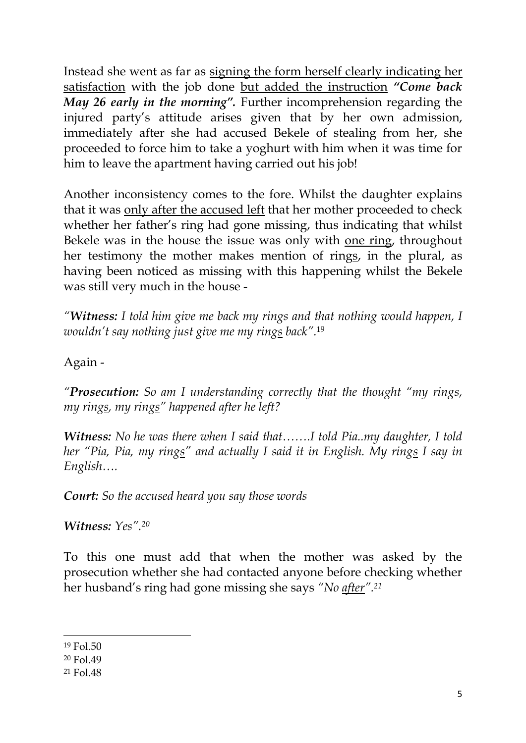Instead she went as far as signing the form herself clearly indicating her satisfaction with the job done but added the instruction *"Come back May 26 early in the morning".* Further incomprehension regarding the injured party's attitude arises given that by her own admission, immediately after she had accused Bekele of stealing from her, she proceeded to force him to take a yoghurt with him when it was time for him to leave the apartment having carried out his job!

Another inconsistency comes to the fore. Whilst the daughter explains that it was only after the accused left that her mother proceeded to check whether her father's ring had gone missing, thus indicating that whilst Bekele was in the house the issue was only with one ring, throughout her testimony the mother makes mention of rings, in the plural, as having been noticed as missing with this happening whilst the Bekele was still very much in the house -

*"Witness: I told him give me back my rings and that nothing would happen, I wouldn't say nothing just give me my rings back".*<sup>19</sup>

Again -

*"Prosecution: So am I understanding correctly that the thought "my rings, my rings, my rings" happened after he left?*

*Witness: No he was there when I said that…….I told Pia..my daughter, I told her "Pia, Pia, my rings" and actually I said it in English. My rings I say in English….*

*Court: So the accused heard you say those words*

*Witness: Yes".<sup>20</sup>*

To this one must add that when the mother was asked by the prosecution whether she had contacted anyone before checking whether her husband's ring had gone missing she says *"No after".<sup>21</sup>*

**.** 

<sup>19</sup> Fol.50

<sup>20</sup> Fol.49

<sup>21</sup> Fol.48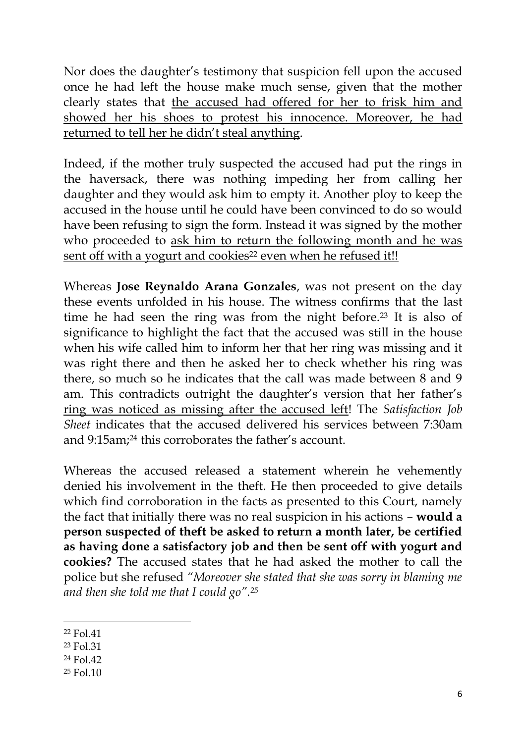Nor does the daughter's testimony that suspicion fell upon the accused once he had left the house make much sense, given that the mother clearly states that the accused had offered for her to frisk him and showed her his shoes to protest his innocence. Moreover, he had returned to tell her he didn't steal anything.

Indeed, if the mother truly suspected the accused had put the rings in the haversack, there was nothing impeding her from calling her daughter and they would ask him to empty it. Another ploy to keep the accused in the house until he could have been convinced to do so would have been refusing to sign the form. Instead it was signed by the mother who proceeded to ask him to return the following month and he was sent off with a yogurt and cookies<sup>22</sup> even when he refused it!!

Whereas **Jose Reynaldo Arana Gonzales**, was not present on the day these events unfolded in his house. The witness confirms that the last time he had seen the ring was from the night before.<sup>23</sup> It is also of significance to highlight the fact that the accused was still in the house when his wife called him to inform her that her ring was missing and it was right there and then he asked her to check whether his ring was there, so much so he indicates that the call was made between 8 and 9 am. This contradicts outright the daughter's version that her father's ring was noticed as missing after the accused left! The *Satisfaction Job Sheet* indicates that the accused delivered his services between 7:30am and 9:15am; <sup>24</sup> this corroborates the father's account.

Whereas the accused released a statement wherein he vehemently denied his involvement in the theft. He then proceeded to give details which find corroboration in the facts as presented to this Court, namely the fact that initially there was no real suspicion in his actions – **would a person suspected of theft be asked to return a month later, be certified as having done a satisfactory job and then be sent off with yogurt and cookies?** The accused states that he had asked the mother to call the police but she refused *"Moreover she stated that she was sorry in blaming me and then she told me that I could go".<sup>25</sup>*

1

- <sup>23</sup> Fol.31
- <sup>24</sup> Fol.42
- <sup>25</sup> Fol.10

<sup>22</sup> Fol.41